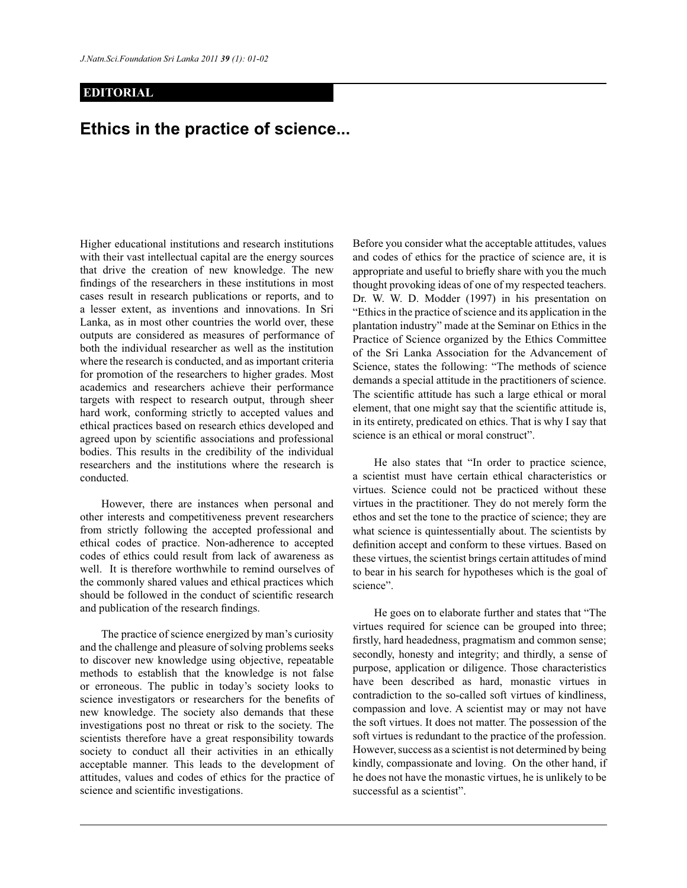## **EDITORIAL**

## **Ethics in the practice of science...**

Higher educational institutions and research institutions with their vast intellectual capital are the energy sources that drive the creation of new knowledge. The new findings of the researchers in these institutions in most cases result in research publications or reports, and to a lesser extent, as inventions and innovations. In Sri Lanka, as in most other countries the world over, these outputs are considered as measures of performance of both the individual researcher as well as the institution where the research is conducted, and as important criteria for promotion of the researchers to higher grades. Most academics and researchers achieve their performance targets with respect to research output, through sheer hard work, conforming strictly to accepted values and ethical practices based on research ethics developed and agreed upon by scientific associations and professional bodies. This results in the credibility of the individual researchers and the institutions where the research is conducted.

 However, there are instances when personal and other interests and competitiveness prevent researchers from strictly following the accepted professional and ethical codes of practice. Non-adherence to accepted codes of ethics could result from lack of awareness as well. It is therefore worthwhile to remind ourselves of the commonly shared values and ethical practices which should be followed in the conduct of scientific research and publication of the research findings.

 The practice of science energized by man's curiosity and the challenge and pleasure of solving problems seeks to discover new knowledge using objective, repeatable methods to establish that the knowledge is not false or erroneous. The public in today's society looks to science investigators or researchers for the benefits of new knowledge. The society also demands that these investigations post no threat or risk to the society. The scientists therefore have a great responsibility towards society to conduct all their activities in an ethically acceptable manner. This leads to the development of attitudes, values and codes of ethics for the practice of science and scientific investigations.

Before you consider what the acceptable attitudes, values and codes of ethics for the practice of science are, it is appropriate and useful to briefly share with you the much thought provoking ideas of one of my respected teachers. Dr. W. W. D. Modder (1997) in his presentation on "Ethics in the practice of science and its application in the plantation industry" made at the Seminar on Ethics in the Practice of Science organized by the Ethics Committee of the Sri Lanka Association for the Advancement of Science, states the following: "The methods of science demands a special attitude in the practitioners of science. The scientific attitude has such a large ethical or moral element, that one might say that the scientific attitude is, in its entirety, predicated on ethics. That is why I say that science is an ethical or moral construct".

 He also states that "In order to practice science, a scientist must have certain ethical characteristics or virtues. Science could not be practiced without these virtues in the practitioner. They do not merely form the ethos and set the tone to the practice of science; they are what science is quintessentially about. The scientists by definition accept and conform to these virtues. Based on these virtues, the scientist brings certain attitudes of mind to bear in his search for hypotheses which is the goal of science".

 He goes on to elaborate further and states that "The virtues required for science can be grouped into three; firstly, hard headedness, pragmatism and common sense; secondly, honesty and integrity; and thirdly, a sense of purpose, application or diligence. Those characteristics have been described as hard, monastic virtues in contradiction to the so-called soft virtues of kindliness, compassion and love. A scientist may or may not have the soft virtues. It does not matter. The possession of the soft virtues is redundant to the practice of the profession. However, success as a scientist is not determined by being kindly, compassionate and loving. On the other hand, if he does not have the monastic virtues, he is unlikely to be successful as a scientist".